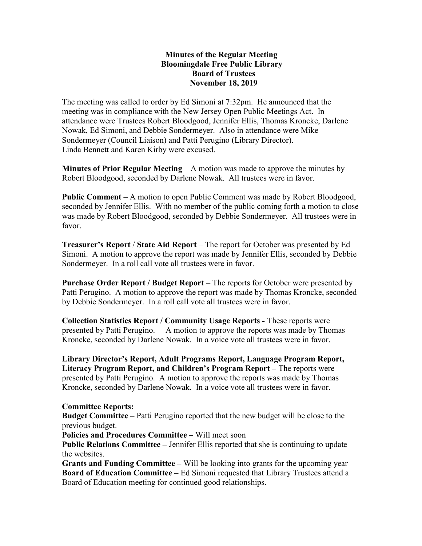## Minutes of the Regular Meeting Bloomingdale Free Public Library Board of Trustees November 18, 2019

The meeting was called to order by Ed Simoni at 7:32pm. He announced that the meeting was in compliance with the New Jersey Open Public Meetings Act. In attendance were Trustees Robert Bloodgood, Jennifer Ellis, Thomas Kroncke, Darlene Nowak, Ed Simoni, and Debbie Sondermeyer. Also in attendance were Mike Sondermeyer (Council Liaison) and Patti Perugino (Library Director). Linda Bennett and Karen Kirby were excused.

**Minutes of Prior Regular Meeting – A motion was made to approve the minutes by** Robert Bloodgood, seconded by Darlene Nowak. All trustees were in favor.

Public Comment – A motion to open Public Comment was made by Robert Bloodgood, seconded by Jennifer Ellis. With no member of the public coming forth a motion to close was made by Robert Bloodgood, seconded by Debbie Sondermeyer. All trustees were in favor.

Treasurer's Report / State Aid Report – The report for October was presented by Ed Simoni. A motion to approve the report was made by Jennifer Ellis, seconded by Debbie Sondermeyer. In a roll call vote all trustees were in favor.

Purchase Order Report / Budget Report – The reports for October were presented by Patti Perugino. A motion to approve the report was made by Thomas Kroncke, seconded by Debbie Sondermeyer. In a roll call vote all trustees were in favor.

Collection Statistics Report / Community Usage Reports - These reports were presented by Patti Perugino. A motion to approve the reports was made by Thomas Kroncke, seconded by Darlene Nowak. In a voice vote all trustees were in favor.

Library Director's Report, Adult Programs Report, Language Program Report, Literacy Program Report, and Children's Program Report – The reports were presented by Patti Perugino. A motion to approve the reports was made by Thomas Kroncke, seconded by Darlene Nowak. In a voice vote all trustees were in favor.

## Committee Reports:

Budget Committee – Patti Perugino reported that the new budget will be close to the previous budget.

Policies and Procedures Committee – Will meet soon

Public Relations Committee – Jennifer Ellis reported that she is continuing to update the websites.

Grants and Funding Committee – Will be looking into grants for the upcoming year Board of Education Committee – Ed Simoni requested that Library Trustees attend a Board of Education meeting for continued good relationships.